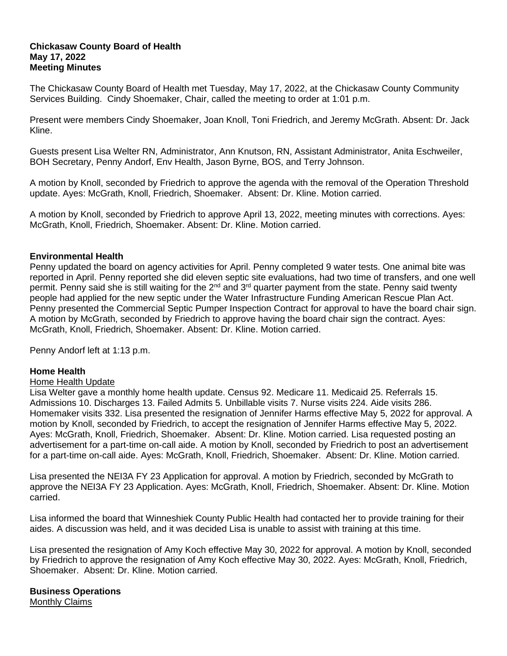### **Chickasaw County Board of Health May 17, 2022 Meeting Minutes**

The Chickasaw County Board of Health met Tuesday, May 17, 2022, at the Chickasaw County Community Services Building. Cindy Shoemaker, Chair, called the meeting to order at 1:01 p.m.

Present were members Cindy Shoemaker, Joan Knoll, Toni Friedrich, and Jeremy McGrath. Absent: Dr. Jack Kline.

Guests present Lisa Welter RN, Administrator, Ann Knutson, RN, Assistant Administrator, Anita Eschweiler, BOH Secretary, Penny Andorf, Env Health, Jason Byrne, BOS, and Terry Johnson.

A motion by Knoll, seconded by Friedrich to approve the agenda with the removal of the Operation Threshold update. Ayes: McGrath, Knoll, Friedrich, Shoemaker. Absent: Dr. Kline. Motion carried.

A motion by Knoll, seconded by Friedrich to approve April 13, 2022, meeting minutes with corrections. Ayes: McGrath, Knoll, Friedrich, Shoemaker. Absent: Dr. Kline. Motion carried.

# **Environmental Health**

Penny updated the board on agency activities for April. Penny completed 9 water tests. One animal bite was reported in April. Penny reported she did eleven septic site evaluations, had two time of transfers, and one well permit. Penny said she is still waiting for the 2<sup>nd</sup> and 3<sup>rd</sup> quarter payment from the state. Penny said twenty people had applied for the new septic under the Water Infrastructure Funding American Rescue Plan Act. Penny presented the Commercial Septic Pumper Inspection Contract for approval to have the board chair sign. A motion by McGrath, seconded by Friedrich to approve having the board chair sign the contract. Ayes: McGrath, Knoll, Friedrich, Shoemaker. Absent: Dr. Kline. Motion carried.

Penny Andorf left at 1:13 p.m.

### **Home Health**

### Home Health Update

Lisa Welter gave a monthly home health update. Census 92. Medicare 11. Medicaid 25. Referrals 15. Admissions 10. Discharges 13. Failed Admits 5. Unbillable visits 7. Nurse visits 224. Aide visits 286. Homemaker visits 332. Lisa presented the resignation of Jennifer Harms effective May 5, 2022 for approval. A motion by Knoll, seconded by Friedrich, to accept the resignation of Jennifer Harms effective May 5, 2022. Ayes: McGrath, Knoll, Friedrich, Shoemaker. Absent: Dr. Kline. Motion carried. Lisa requested posting an advertisement for a part-time on-call aide. A motion by Knoll, seconded by Friedrich to post an advertisement for a part-time on-call aide. Ayes: McGrath, Knoll, Friedrich, Shoemaker. Absent: Dr. Kline. Motion carried.

Lisa presented the NEI3A FY 23 Application for approval. A motion by Friedrich, seconded by McGrath to approve the NEI3A FY 23 Application. Ayes: McGrath, Knoll, Friedrich, Shoemaker. Absent: Dr. Kline. Motion carried.

Lisa informed the board that Winneshiek County Public Health had contacted her to provide training for their aides. A discussion was held, and it was decided Lisa is unable to assist with training at this time.

Lisa presented the resignation of Amy Koch effective May 30, 2022 for approval. A motion by Knoll, seconded by Friedrich to approve the resignation of Amy Koch effective May 30, 2022. Ayes: McGrath, Knoll, Friedrich, Shoemaker. Absent: Dr. Kline. Motion carried.

**Business Operations** Monthly Claims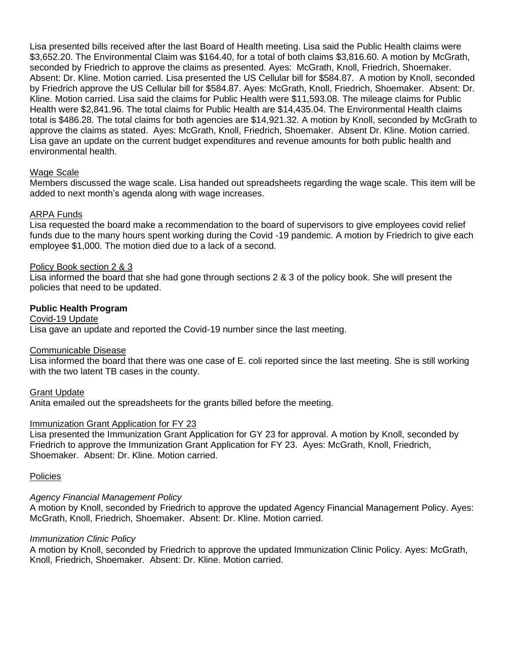Lisa presented bills received after the last Board of Health meeting. Lisa said the Public Health claims were \$3,652.20. The Environmental Claim was \$164.40, for a total of both claims \$3,816.60. A motion by McGrath, seconded by Friedrich to approve the claims as presented. Ayes: McGrath, Knoll, Friedrich, Shoemaker. Absent: Dr. Kline. Motion carried. Lisa presented the US Cellular bill for \$584.87. A motion by Knoll, seconded by Friedrich approve the US Cellular bill for \$584.87. Ayes: McGrath, Knoll, Friedrich, Shoemaker. Absent: Dr. Kline. Motion carried. Lisa said the claims for Public Health were \$11,593.08. The mileage claims for Public Health were \$2,841.96. The total claims for Public Health are \$14,435.04. The Environmental Health claims total is \$486.28. The total claims for both agencies are \$14,921.32. A motion by Knoll, seconded by McGrath to approve the claims as stated. Ayes: McGrath, Knoll, Friedrich, Shoemaker. Absent Dr. Kline. Motion carried. Lisa gave an update on the current budget expenditures and revenue amounts for both public health and environmental health.

# Wage Scale

Members discussed the wage scale. Lisa handed out spreadsheets regarding the wage scale. This item will be added to next month's agenda along with wage increases.

# ARPA Funds

Lisa requested the board make a recommendation to the board of supervisors to give employees covid relief funds due to the many hours spent working during the Covid -19 pandemic. A motion by Friedrich to give each employee \$1,000. The motion died due to a lack of a second.

### Policy Book section 2 & 3

Lisa informed the board that she had gone through sections 2 & 3 of the policy book. She will present the policies that need to be updated.

### **Public Health Program**

#### Covid-19 Update

Lisa gave an update and reported the Covid-19 number since the last meeting.

#### Communicable Disease

Lisa informed the board that there was one case of E. coli reported since the last meeting. She is still working with the two latent TB cases in the county.

Grant Update

Anita emailed out the spreadsheets for the grants billed before the meeting.

### Immunization Grant Application for FY 23

Lisa presented the Immunization Grant Application for GY 23 for approval. A motion by Knoll, seconded by Friedrich to approve the Immunization Grant Application for FY 23. Ayes: McGrath, Knoll, Friedrich, Shoemaker. Absent: Dr. Kline. Motion carried.

#### Policies

### *Agency Financial Management Policy*

A motion by Knoll, seconded by Friedrich to approve the updated Agency Financial Management Policy. Ayes: McGrath, Knoll, Friedrich, Shoemaker. Absent: Dr. Kline. Motion carried.

### *Immunization Clinic Policy*

A motion by Knoll, seconded by Friedrich to approve the updated Immunization Clinic Policy. Ayes: McGrath, Knoll, Friedrich, Shoemaker. Absent: Dr. Kline. Motion carried.